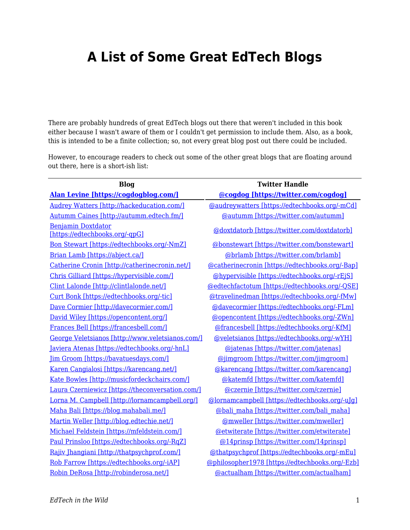## **A List of Some Great EdTech Blogs**

There are probably hundreds of great EdTech blogs out there that weren't included in this book either because I wasn't aware of them or I couldn't get permission to include them. Also, as a book, this is intended to be a finite collection; so, not every great blog post out there could be included.

However, to encourage readers to check out some of the other great blogs that are floating around out there, here is a short-ish list:

| <b>Blog</b>                                                 | <b>Twitter Handle</b>                           |
|-------------------------------------------------------------|-------------------------------------------------|
| Alan Levine [https://cogdogblog.com/]                       | @cogdog [https://twitter.com/cogdog]            |
| <b>Audrey Watters [http://hackeducation.com/]</b>           | @audreywatters [https://edtechbooks.org/-mCd]   |
| Autumm Caines [http://autumm.edtech.fm/]                    | @autumm [https://twitter.com/autumm]            |
| <b>Benjamin Doxtdator</b><br>[https://edtechbooks.org/-qpG] | @doxtdatorb [https://twitter.com/doxtdatorb]    |
| Bon Stewart [https://edtechbooks.org/-NmZ]                  | @bonstewart [https://twitter.com/bonstewart]    |
| Brian Lamb [https://abject.ca/]                             | @brlamb [https://twitter.com/brlamb]            |
| Catherine Cronin [http://catherinecronin.net/]              | @catherinecronin [https://edtechbooks.org/-Bap] |
| Chris Gilliard [https://hypervisible.com/]                  | @hypervisible [https://edtechbooks.org/-rEjS]   |
| Clint Lalonde [http://clintlalonde.net/]                    | @edtechfactotum [https://edtechbooks.org/-QSE]  |
| Curt Bonk [https://edtechbooks.org/-tic]                    | @travelinedman [https://edtechbooks.org/-fMw]   |
| Dave Cormier [http://davecormier.com/]                      | @davecormier [https://edtechbooks.org/-FLm]     |
| David Wiley [https://opencontent.org/]                      | @opencontent [https://edtechbooks.org/-ZWn]     |
| Frances Bell [https://francesbell.com/]                     | @francesbell [https://edtechbooks.org/-KfM]     |
| George Veletsianos [http://www.veletsianos.com/]            | @veletsianos [https://edtechbooks.org/-wYH]     |
| Javiera Atenas [https://edtechbooks.org/-hnL]               | @jatenas [https://twitter.com/jatenas]          |
| [im Groom [https://bavatuesdays.com/]                       | @jimgroom [https://twitter.com/jimgroom]        |
| Karen Cangialosi [https://karencang.net/]                   | @karencang [https://twitter.com/karencang]      |
| Kate Bowles [http://musicfordeckchairs.com/]                | @katemfd [https://twitter.com/katemfd]          |
| Laura Czerniewicz [https://theconversation.com/]            | @czernie [https://twitter.com/czernie]          |
| Lorna M. Campbell [http://lornamcampbell.org/]              | @lornamcampbell [https://edtechbooks.org/-uJg]  |
| Maha Bali [https://blog.mahabali.me/]                       | @bali maha [https://twitter.com/bali maha]      |
| Martin Weller [http://blog.edtechie.net/]                   | @mweller [https://twitter.com/mweller]          |
| Michael Feldstein [https://mfeldstein.com/]                 | @etwiterate [https://twitter.com/etwiterate]    |
| Paul Prinsloo [https://edtechbooks.org/-RqZ]                | @14prinsp [https://twitter.com/14prinsp]        |
| Rajiv Jhangiani [http://thatpsychprof.com/]                 | @thatpsychprof [https://edtechbooks.org/-mEu]   |
| Rob Farrow [https://edtechbooks.org/-iAP]                   | @philosopher1978 [https://edtechbooks.org/-Ezb] |
| Robin DeRosa [http://robinderosa.net/]                      | @actualham [https://twitter.com/actualham]      |